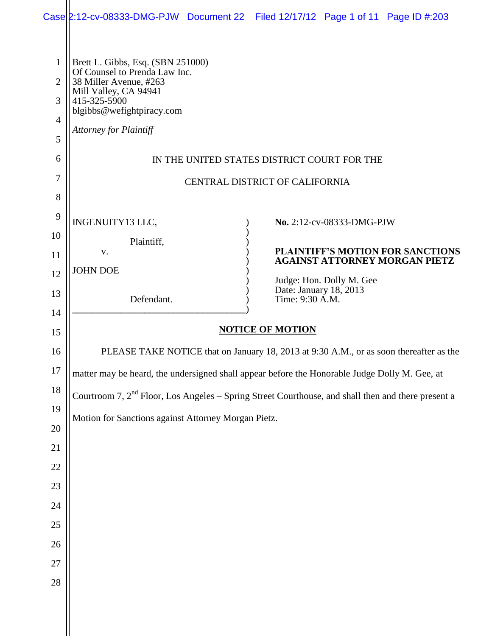|                                                 |                                                                                                                                                                                                                                                                                                                                                                  |  | Case 2:12-cv-08333-DMG-PJW Document 22 Filed 12/17/12 Page 1 of 11 Page ID #:203                                                                                                      |  |  |  |  |
|-------------------------------------------------|------------------------------------------------------------------------------------------------------------------------------------------------------------------------------------------------------------------------------------------------------------------------------------------------------------------------------------------------------------------|--|---------------------------------------------------------------------------------------------------------------------------------------------------------------------------------------|--|--|--|--|
| $\mathbf{1}$<br>2<br>3<br>4<br>5<br>6<br>7<br>8 | Brett L. Gibbs, Esq. (SBN 251000)<br>Of Counsel to Prenda Law Inc.<br>38 Miller Avenue, #263<br>Mill Valley, CA 94941<br>415-325-5900<br>blgibbs@wefightpiracy.com<br><b>Attorney for Plaintiff</b>                                                                                                                                                              |  | IN THE UNITED STATES DISTRICT COURT FOR THE<br>CENTRAL DISTRICT OF CALIFORNIA                                                                                                         |  |  |  |  |
| 9<br>10<br>11<br>12<br>13<br>14                 | INGENUITY13 LLC,<br>Plaintiff,<br>V.<br><b>JOHN DOE</b><br>Defendant.                                                                                                                                                                                                                                                                                            |  | No. 2:12-cv-08333-DMG-PJW<br><b>PLAINTIFF'S MOTION FOR SANCTIONS</b><br><b>AGAINST ATTORNEY MORGAN PIETZ</b><br>Judge: Hon. Dolly M. Gee<br>Date: January 18, 2013<br>Time: 9:30 A.M. |  |  |  |  |
| 15                                              | <b>NOTICE OF MOTION</b>                                                                                                                                                                                                                                                                                                                                          |  |                                                                                                                                                                                       |  |  |  |  |
| 16<br>17<br>$18\,$<br>19<br>$20\,$<br>21        | PLEASE TAKE NOTICE that on January 18, 2013 at 9:30 A.M., or as soon thereafter as the<br>matter may be heard, the undersigned shall appear before the Honorable Judge Dolly M. Gee, at<br>Courtroom 7, 2 <sup>nd</sup> Floor, Los Angeles – Spring Street Courthouse, and shall then and there present a<br>Motion for Sanctions against Attorney Morgan Pietz. |  |                                                                                                                                                                                       |  |  |  |  |
| 22<br>23<br>24                                  |                                                                                                                                                                                                                                                                                                                                                                  |  |                                                                                                                                                                                       |  |  |  |  |
|                                                 |                                                                                                                                                                                                                                                                                                                                                                  |  |                                                                                                                                                                                       |  |  |  |  |
| 25<br>26<br>27<br>28                            |                                                                                                                                                                                                                                                                                                                                                                  |  |                                                                                                                                                                                       |  |  |  |  |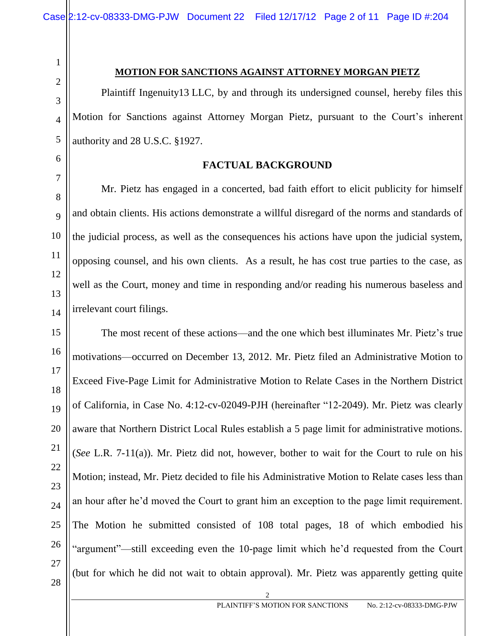2 3 4

1

#### **MOTION FOR SANCTIONS AGAINST ATTORNEY MORGAN PIETZ**

Plaintiff Ingenuity13 LLC, by and through its undersigned counsel, hereby files this Motion for Sanctions against Attorney Morgan Pietz, pursuant to the Court's inherent authority and 28 U.S.C. §1927.

6 7

8

 $\overline{Q}$ 

10

11

12

13

14

5

## **FACTUAL BACKGROUND**

Mr. Pietz has engaged in a concerted, bad faith effort to elicit publicity for himself and obtain clients. His actions demonstrate a willful disregard of the norms and standards of the judicial process, as well as the consequences his actions have upon the judicial system, opposing counsel, and his own clients. As a result, he has cost true parties to the case, as well as the Court, money and time in responding and/or reading his numerous baseless and irrelevant court filings.

15 16 17 18 19 20 21 22 23 24 25 26 27 The most recent of these actions—and the one which best illuminates Mr. Pietz's true motivations—occurred on December 13, 2012. Mr. Pietz filed an Administrative Motion to Exceed Five-Page Limit for Administrative Motion to Relate Cases in the Northern District of California, in Case No. 4:12-cv-02049-PJH (hereinafter "12-2049). Mr. Pietz was clearly aware that Northern District Local Rules establish a 5 page limit for administrative motions. (*See* L.R. 7-11(a)). Mr. Pietz did not, however, bother to wait for the Court to rule on his Motion; instead, Mr. Pietz decided to file his Administrative Motion to Relate cases less than an hour after he'd moved the Court to grant him an exception to the page limit requirement. The Motion he submitted consisted of 108 total pages, 18 of which embodied his "argument"—still exceeding even the 10-page limit which he'd requested from the Court (but for which he did not wait to obtain approval). Mr. Pietz was apparently getting quite

2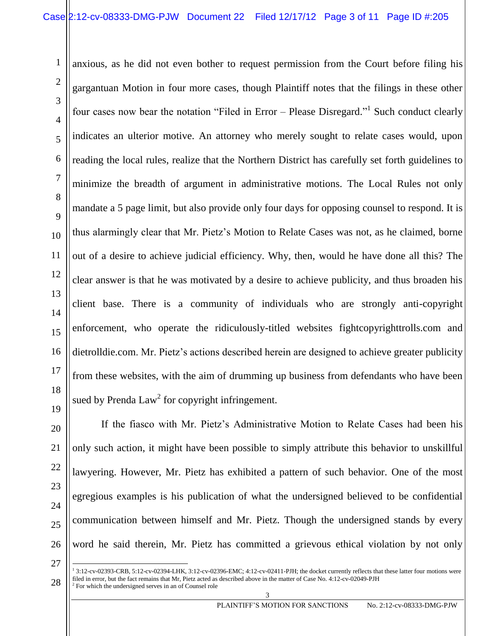anxious, as he did not even bother to request permission from the Court before filing his gargantuan Motion in four more cases, though Plaintiff notes that the filings in these other four cases now bear the notation "Filed in Error – Please Disregard."<sup>1</sup> Such conduct clearly indicates an ulterior motive. An attorney who merely sought to relate cases would, upon reading the local rules, realize that the Northern District has carefully set forth guidelines to minimize the breadth of argument in administrative motions. The Local Rules not only mandate a 5 page limit, but also provide only four days for opposing counsel to respond. It is thus alarmingly clear that Mr. Pietz's Motion to Relate Cases was not, as he claimed, borne out of a desire to achieve judicial efficiency. Why, then, would he have done all this? The clear answer is that he was motivated by a desire to achieve publicity, and thus broaden his client base. There is a community of individuals who are strongly anti-copyright enforcement, who operate the ridiculously-titled websites fightcopyrighttrolls.com and dietrolldie.com. Mr. Pietz's actions described herein are designed to achieve greater publicity from these websites, with the aim of drumming up business from defendants who have been sued by Prenda  $Law<sup>2</sup>$  for copyright infringement.

27

1

2

3

4

5

6

7

8

9

10

11

12

13

14

15

16

17

18

If the fiasco with Mr. Pietz's Administrative Motion to Relate Cases had been his only such action, it might have been possible to simply attribute this behavior to unskillful lawyering. However, Mr. Pietz has exhibited a pattern of such behavior. One of the most egregious examples is his publication of what the undersigned believed to be confidential communication between himself and Mr. Pietz. Though the undersigned stands by every word he said therein, Mr. Pietz has committed a grievous ethical violation by not only

<sup>28</sup> 1 3:12-cv-02393-CRB, 5:12-cv-02394-LHK, 3:12-cv-02396-EMC; 4:12-cv-02411-PJH; the docket currently reflects that these latter four motions were filed in error, but the fact remains that Mr, Pietz acted as described above in the matter of Case No. 4:12-cv-02049-PJH <sup>2</sup> For which the undersigned serves in an of Counsel role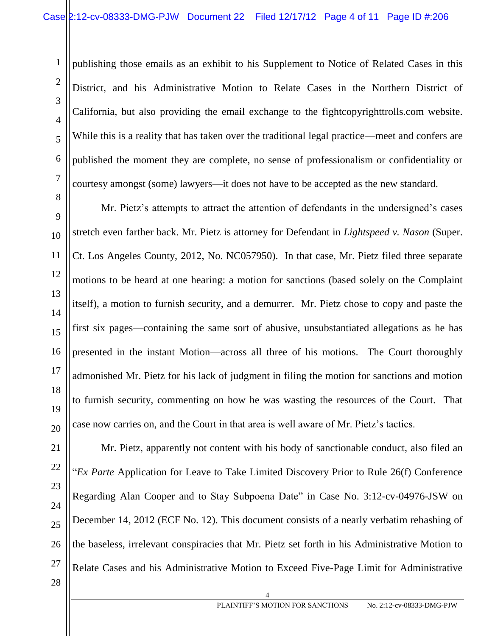publishing those emails as an exhibit to his Supplement to Notice of Related Cases in this District, and his Administrative Motion to Relate Cases in the Northern District of California, but also providing the email exchange to the fightcopyrighttrolls.com website. While this is a reality that has taken over the traditional legal practice—meet and confers are published the moment they are complete, no sense of professionalism or confidentiality or courtesy amongst (some) lawyers—it does not have to be accepted as the new standard.

Mr. Pietz's attempts to attract the attention of defendants in the undersigned's cases stretch even farther back. Mr. Pietz is attorney for Defendant in *Lightspeed v. Nason* (Super. Ct. Los Angeles County, 2012, No. NC057950). In that case, Mr. Pietz filed three separate motions to be heard at one hearing: a motion for sanctions (based solely on the Complaint itself), a motion to furnish security, and a demurrer. Mr. Pietz chose to copy and paste the first six pages—containing the same sort of abusive, unsubstantiated allegations as he has presented in the instant Motion—across all three of his motions. The Court thoroughly admonished Mr. Pietz for his lack of judgment in filing the motion for sanctions and motion to furnish security, commenting on how he was wasting the resources of the Court. That case now carries on, and the Court in that area is well aware of Mr. Pietz's tactics.

1

2

3

4

5

6

7

8

9

10

11

12

13

14

15

16

17

18

19

20

Mr. Pietz, apparently not content with his body of sanctionable conduct, also filed an "*Ex Parte* Application for Leave to Take Limited Discovery Prior to Rule 26(f) Conference Regarding Alan Cooper and to Stay Subpoena Date" in Case No. 3:12-cv-04976-JSW on December 14, 2012 (ECF No. 12). This document consists of a nearly verbatim rehashing of the baseless, irrelevant conspiracies that Mr. Pietz set forth in his Administrative Motion to Relate Cases and his Administrative Motion to Exceed Five-Page Limit for Administrative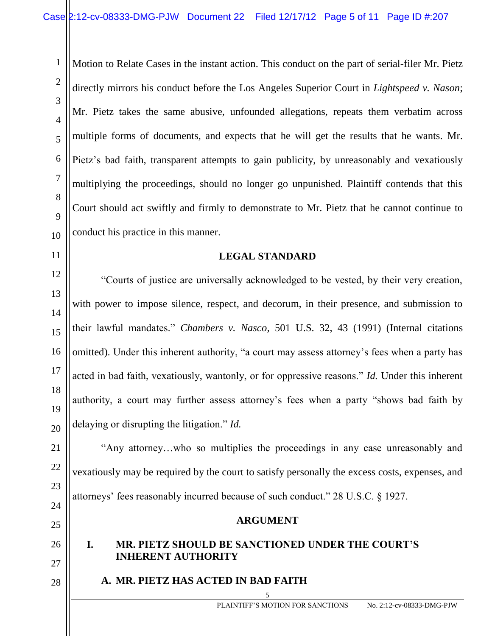Motion to Relate Cases in the instant action. This conduct on the part of serial-filer Mr. Pietz directly mirrors his conduct before the Los Angeles Superior Court in *Lightspeed v. Nason*; Mr. Pietz takes the same abusive, unfounded allegations, repeats them verbatim across multiple forms of documents, and expects that he will get the results that he wants. Mr. Pietz's bad faith, transparent attempts to gain publicity, by unreasonably and vexatiously multiplying the proceedings, should no longer go unpunished. Plaintiff contends that this Court should act swiftly and firmly to demonstrate to Mr. Pietz that he cannot continue to conduct his practice in this manner.

### **LEGAL STANDARD**

"Courts of justice are universally acknowledged to be vested, by their very creation, with power to impose silence, respect, and decorum, in their presence, and submission to their lawful mandates." *Chambers v. Nasco,* 501 U.S. 32, 43 (1991) (Internal citations omitted). Under this inherent authority, "a court may assess attorney's fees when a party has acted in bad faith, vexatiously, wantonly, or for oppressive reasons." *Id.* Under this inherent authority, a court may further assess attorney's fees when a party "shows bad faith by delaying or disrupting the litigation." *Id.*

"Any attorney…who so multiplies the proceedings in any case unreasonably and vexatiously may be required by the court to satisfy personally the excess costs, expenses, and attorneys' fees reasonably incurred because of such conduct." 28 U.S.C. § 1927.

### **ARGUMENT**

5

# **I. MR. PIETZ SHOULD BE SANCTIONED UNDER THE COURT'S INHERENT AUTHORITY**

**A. MR. PIETZ HAS ACTED IN BAD FAITH**

1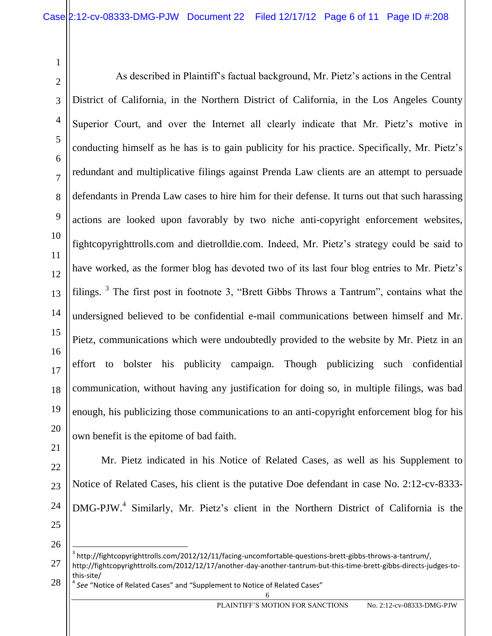As described in Plaintiff's factual background, Mr. Pietz's actions in the Central District of California, in the Northern District of California, in the Los Angeles County Superior Court, and over the Internet all clearly indicate that Mr. Pietz's motive in conducting himself as he has is to gain publicity for his practice. Specifically, Mr. Pietz's redundant and multiplicative filings against Prenda Law clients are an attempt to persuade defendants in Prenda Law cases to hire him for their defense. It turns out that such harassing actions are looked upon favorably by two niche anti-copyright enforcement websites, fightcopyrighttrolls.com and dietrolldie.com. Indeed, Mr. Pietz's strategy could be said to have worked, as the former blog has devoted two of its last four blog entries to Mr. Pietz's filings.  $3$  The first post in footnote 3, "Brett Gibbs Throws a Tantrum", contains what the undersigned believed to be confidential e-mail communications between himself and Mr. Pietz, communications which were undoubtedly provided to the website by Mr. Pietz in an effort to bolster his publicity campaign. Though publicizing such confidential communication, without having any justification for doing so, in multiple filings, was bad enough, his publicizing those communications to an anti-copyright enforcement blog for his own benefit is the epitome of bad faith.

Mr. Pietz indicated in his Notice of Related Cases, as well as his Supplement to Notice of Related Cases, his client is the putative Doe defendant in case No. 2:12-cv-8333- DMG-PJW.<sup>4</sup> Similarly, Mr. Pietz's client in the Northern District of California is the

26

 $\overline{a}$ 

28 4 *See* "Notice of Related Cases" and "Supplement to Notice of Related Cases"

 $^3$  http://fightcopyrighttrolls.com/2012/12/11/facing-uncomfortable-questions-brett-gibbs-throws-a-tantrum/, http://fightcopyrighttrolls.com/2012/12/17/another-day-another-tantrum-but-this-time-brett-gibbs-directs-judges-tothis-site/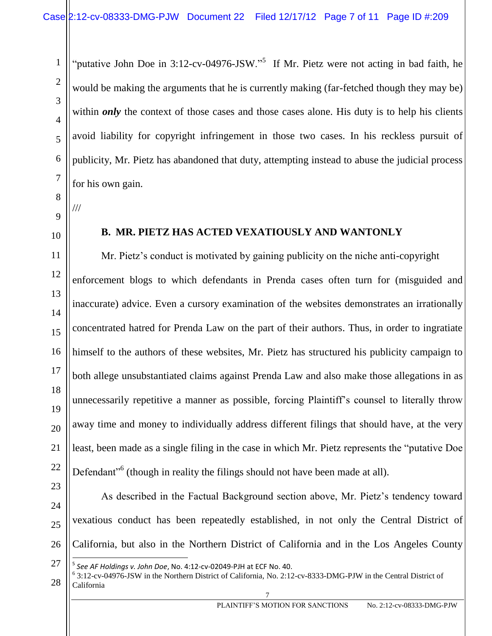"putative John Doe in 3:12-cv-04976-JSW."<sup>5</sup> If Mr. Pietz were not acting in bad faith, he would be making the arguments that he is currently making (far-fetched though they may be) within *only* the context of those cases and those cases alone. His duty is to help his clients avoid liability for copyright infringement in those two cases. In his reckless pursuit of publicity, Mr. Pietz has abandoned that duty, attempting instead to abuse the judicial process for his own gain.

9

///

1

2

3

4

5

6

7

8

10

11

12

13

14

15

16

17

18

19

20

21

22

# **B. MR. PIETZ HAS ACTED VEXATIOUSLY AND WANTONLY**

Mr. Pietz's conduct is motivated by gaining publicity on the niche anti-copyright enforcement blogs to which defendants in Prenda cases often turn for (misguided and inaccurate) advice. Even a cursory examination of the websites demonstrates an irrationally concentrated hatred for Prenda Law on the part of their authors. Thus, in order to ingratiate himself to the authors of these websites, Mr. Pietz has structured his publicity campaign to both allege unsubstantiated claims against Prenda Law and also make those allegations in as unnecessarily repetitive a manner as possible, forcing Plaintiff's counsel to literally throw away time and money to individually address different filings that should have, at the very least, been made as a single filing in the case in which Mr. Pietz represents the "putative Doe Defendant<sup>"6</sup> (though in reality the filings should not have been made at all).

23 24

25

26

As described in the Factual Background section above, Mr. Pietz's tendency toward vexatious conduct has been repeatedly established, in not only the Central District of California, but also in the Northern District of California and in the Los Angeles County

28 6 3:12-cv-04976-JSW in the Northern District of California, No. 2:12-cv-8333-DMG-PJW in the Central District of California

<sup>27</sup>  $\overline{a}$ 5 *See AF Holdings v. John Doe*, No. 4:12-cv-02049-PJH at ECF No. 40.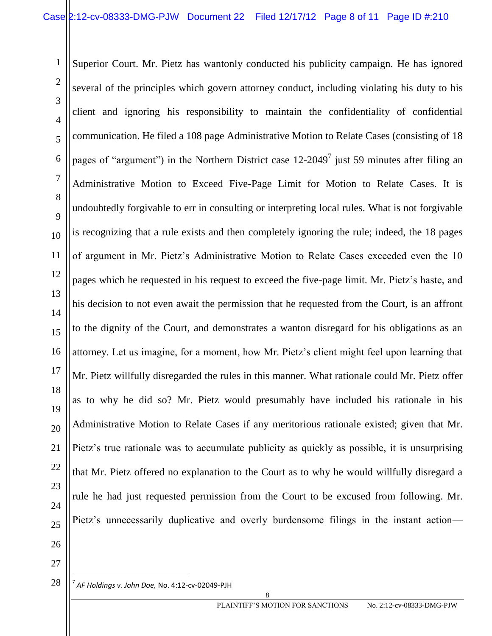Superior Court. Mr. Pietz has wantonly conducted his publicity campaign. He has ignored several of the principles which govern attorney conduct, including violating his duty to his client and ignoring his responsibility to maintain the confidentiality of confidential communication. He filed a 108 page Administrative Motion to Relate Cases (consisting of 18 pages of "argument") in the Northern District case  $12{\text -}2049^7$  just 59 minutes after filing an Administrative Motion to Exceed Five-Page Limit for Motion to Relate Cases. It is undoubtedly forgivable to err in consulting or interpreting local rules. What is not forgivable is recognizing that a rule exists and then completely ignoring the rule; indeed, the 18 pages of argument in Mr. Pietz's Administrative Motion to Relate Cases exceeded even the 10 pages which he requested in his request to exceed the five-page limit. Mr. Pietz's haste, and his decision to not even await the permission that he requested from the Court, is an affront to the dignity of the Court, and demonstrates a wanton disregard for his obligations as an attorney. Let us imagine, for a moment, how Mr. Pietz's client might feel upon learning that Mr. Pietz willfully disregarded the rules in this manner. What rationale could Mr. Pietz offer as to why he did so? Mr. Pietz would presumably have included his rationale in his Administrative Motion to Relate Cases if any meritorious rationale existed; given that Mr. Pietz's true rationale was to accumulate publicity as quickly as possible, it is unsurprising that Mr. Pietz offered no explanation to the Court as to why he would willfully disregard a rule he had just requested permission from the Court to be excused from following. Mr. Pietz's unnecessarily duplicative and overly burdensome filings in the instant action-

27

1

2

3

4

5

6

7

8

9

10

11

12

13

14

15

16

17

18

19

20

21

22

23

24

25

26

<sup>28</sup> 7 *AF Holdings v. John Doe,* No. 4:12-cv-02049-PJH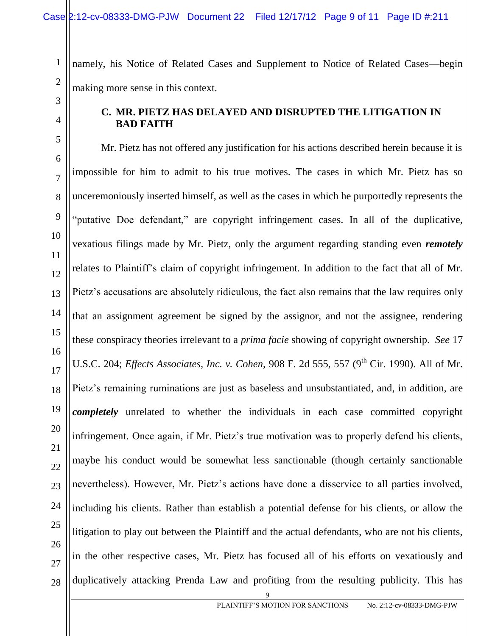namely, his Notice of Related Cases and Supplement to Notice of Related Cases—begin making more sense in this context.

3 4

5

6

7

8

9

10

11

12

13

14

15

16

17

18

19

20

21

22

23

24

25

26

27

28

1

2

### **C. MR. PIETZ HAS DELAYED AND DISRUPTED THE LITIGATION IN BAD FAITH**

Mr. Pietz has not offered any justification for his actions described herein because it is impossible for him to admit to his true motives. The cases in which Mr. Pietz has so unceremoniously inserted himself, as well as the cases in which he purportedly represents the "putative Doe defendant," are copyright infringement cases. In all of the duplicative, vexatious filings made by Mr. Pietz, only the argument regarding standing even *remotely* relates to Plaintiff's claim of copyright infringement. In addition to the fact that all of Mr. Pietz's accusations are absolutely ridiculous, the fact also remains that the law requires only that an assignment agreement be signed by the assignor, and not the assignee, rendering these conspiracy theories irrelevant to a *prima facie* showing of copyright ownership. *See* 17 U.S.C. 204; *Effects Associates, Inc. v. Cohen, 908 F.* 2d 555, 557 (9<sup>th</sup> Cir. 1990). All of Mr. Pietz's remaining ruminations are just as baseless and unsubstantiated, and, in addition, are *completely* unrelated to whether the individuals in each case committed copyright infringement. Once again, if Mr. Pietz's true motivation was to properly defend his clients, maybe his conduct would be somewhat less sanctionable (though certainly sanctionable nevertheless). However, Mr. Pietz's actions have done a disservice to all parties involved, including his clients. Rather than establish a potential defense for his clients, or allow the litigation to play out between the Plaintiff and the actual defendants, who are not his clients, in the other respective cases, Mr. Pietz has focused all of his efforts on vexatiously and duplicatively attacking Prenda Law and profiting from the resulting publicity. This has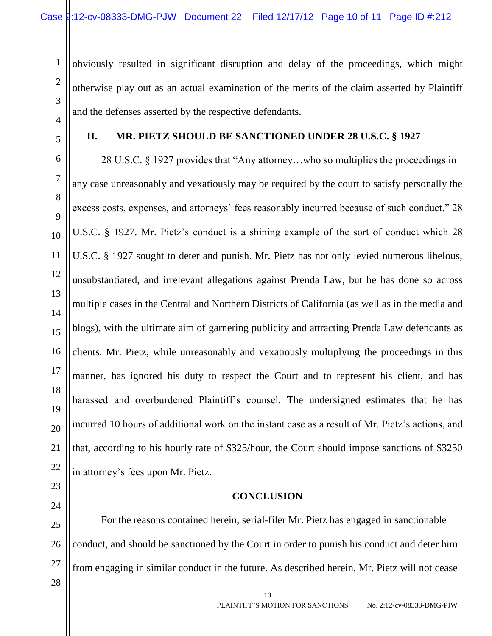obviously resulted in significant disruption and delay of the proceedings, which might otherwise play out as an actual examination of the merits of the claim asserted by Plaintiff and the defenses asserted by the respective defendants.

1

2

3

4

5

6

7

8

9

10

11

12

13

14

15

16

17

18

19

20

21

22

23

24

## **II. MR. PIETZ SHOULD BE SANCTIONED UNDER 28 U.S.C. § 1927**

28 U.S.C. § 1927 provides that "Any attorney…who so multiplies the proceedings in any case unreasonably and vexatiously may be required by the court to satisfy personally the excess costs, expenses, and attorneys' fees reasonably incurred because of such conduct." 28 U.S.C. § 1927. Mr. Pietz's conduct is a shining example of the sort of conduct which 28 U.S.C. § 1927 sought to deter and punish. Mr. Pietz has not only levied numerous libelous, unsubstantiated, and irrelevant allegations against Prenda Law, but he has done so across multiple cases in the Central and Northern Districts of California (as well as in the media and blogs), with the ultimate aim of garnering publicity and attracting Prenda Law defendants as clients. Mr. Pietz, while unreasonably and vexatiously multiplying the proceedings in this manner, has ignored his duty to respect the Court and to represent his client, and has harassed and overburdened Plaintiff's counsel. The undersigned estimates that he has incurred 10 hours of additional work on the instant case as a result of Mr. Pietz's actions, and that, according to his hourly rate of \$325/hour, the Court should impose sanctions of \$3250 in attorney's fees upon Mr. Pietz.

### **CONCLUSION**

10

25 26 27 For the reasons contained herein, serial-filer Mr. Pietz has engaged in sanctionable conduct, and should be sanctioned by the Court in order to punish his conduct and deter him from engaging in similar conduct in the future. As described herein, Mr. Pietz will not cease